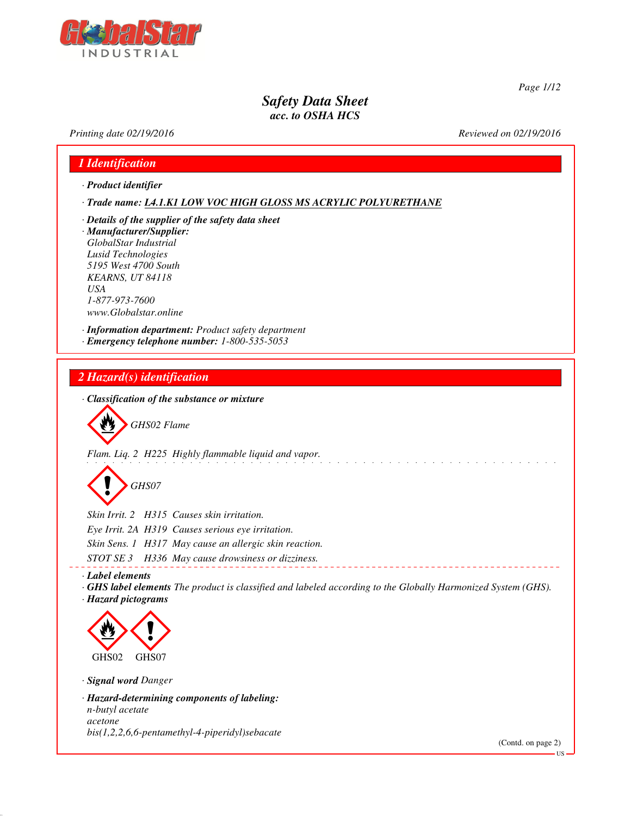

*Page 1/12*

## *Safety Data Sheet acc. to OSHA HCS*

*Printing date 02/19/2016 Reviewed on 02/19/2016*

# *1 Identification · Product identifier · Trade name: L4.1.K1 LOW VOC HIGH GLOSS MS ACRYLIC POLYURETHANE · Details of the supplier of the safety data sheet · Manufacturer/Supplier: GlobalStar Industrial Lusid Technologies 5195 West 4700 South KEARNS, UT 84118 USA 1-877-973-7600 www.Globalstar.online · Information department: Product safety department · Emergency telephone number: 1-800-535-5053 2 Hazard(s) identification · Classification of the substance or mixture* d~*GHS02 Flame Flam. Liq. 2 H225 Highly flammable liquid and vapor.* d~*GHS07 Skin Irrit. 2 H315 Causes skin irritation. Eye Irrit. 2A H319 Causes serious eye irritation. Skin Sens. 1 H317 May cause an allergic skin reaction. STOT SE 3 H336 May cause drowsiness or dizziness. · Label elements · GHS label elements The product is classified and labeled according to the Globally Harmonized System (GHS). · Hazard pictograms* < GHS02  $\langle \cdot \rangle$ GHS07 *· Signal word Danger · Hazard-determining components of labeling: n-butyl acetate acetone bis(1,2,2,6,6-pentamethyl-4-piperidyl)sebacate*

(Contd. on page 2)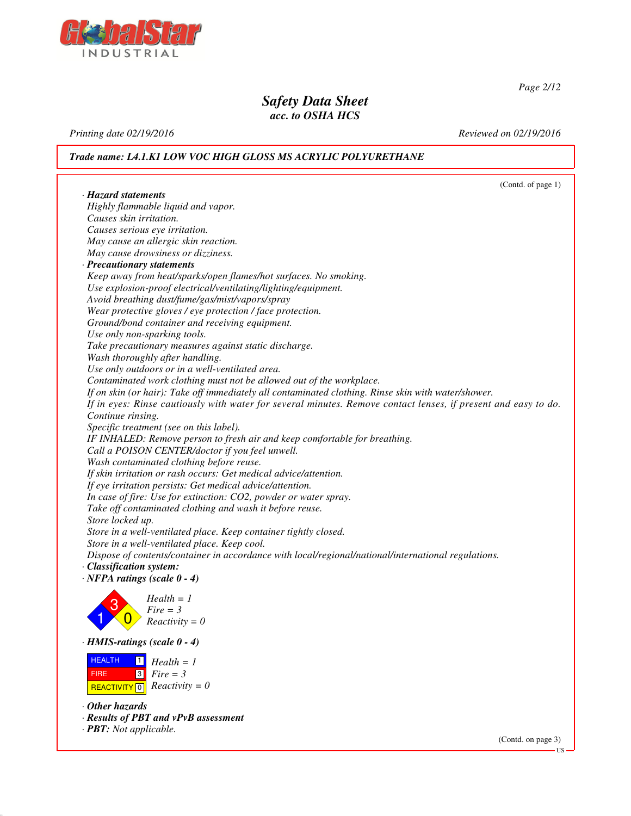

*Page 2/12*

### *Safety Data Sheet acc. to OSHA HCS*

*Printing date 02/19/2016 Reviewed on 02/19/2016*

*Trade name: L4.1.K1 LOW VOC HIGH GLOSS MS ACRYLIC POLYURETHANE*

(Contd. of page 1) *· Hazard statements Highly flammable liquid and vapor. Causes skin irritation. Causes serious eye irritation. May cause an allergic skin reaction. May cause drowsiness or dizziness. · Precautionary statements Keep away from heat/sparks/open flames/hot surfaces. No smoking. Use explosion-proof electrical/ventilating/lighting/equipment. Avoid breathing dust/fume/gas/mist/vapors/spray Wear protective gloves / eye protection / face protection. Ground/bond container and receiving equipment. Use only non-sparking tools. Take precautionary measures against static discharge. Wash thoroughly after handling. Use only outdoors or in a well-ventilated area. Contaminated work clothing must not be allowed out of the workplace. If on skin (or hair): Take off immediately all contaminated clothing. Rinse skin with water/shower. If in eyes: Rinse cautiously with water for several minutes. Remove contact lenses, if present and easy to do. Continue rinsing. Specific treatment (see on this label). IF INHALED: Remove person to fresh air and keep comfortable for breathing. Call a POISON CENTER/doctor if you feel unwell. Wash contaminated clothing before reuse. If skin irritation or rash occurs: Get medical advice/attention. If eye irritation persists: Get medical advice/attention. In case of fire: Use for extinction: CO2, powder or water spray. Take off contaminated clothing and wash it before reuse. Store locked up. Store in a well-ventilated place. Keep container tightly closed. Store in a well-ventilated place. Keep cool. Dispose of contents/container in accordance with local/regional/national/international regulations. · Classification system: · NFPA ratings (scale 0 - 4)* 1 3  $\overline{0}$ *Health = 1 Fire = 3 Reactivity = 0 · HMIS-ratings (scale 0 - 4)* **HEALTH**  FIRE  $R$ **REACTIVITY**  $\boxed{0}$  *Reactivity = 0* 1 3 *Health = 1 Fire = 3 · Other hazards · Results of PBT and vPvB assessment · PBT: Not applicable.*

(Contd. on page 3) US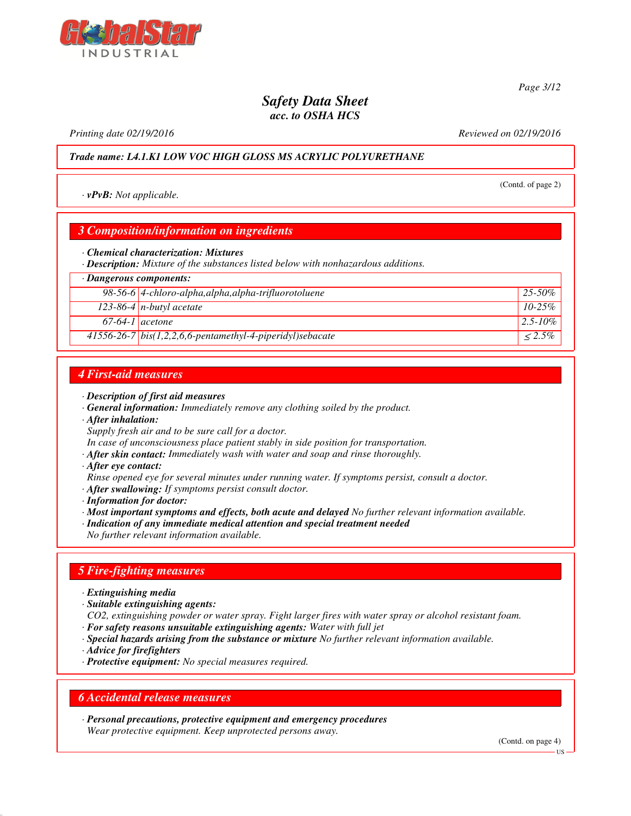*Printing date 02/19/2016 Reviewed on 02/19/2016*

*Trade name: L4.1.K1 LOW VOC HIGH GLOSS MS ACRYLIC POLYURETHANE*

*· vPvB: Not applicable.*

### *3 Composition/information on ingredients*

*· Chemical characterization: Mixtures*

*· Description: Mixture of the substances listed below with nonhazardous additions.*

### *· Dangerous components:*

|                   | 98-56-6 4-chloro-alpha, alpha, alpha-trifluorotoluene       | $25 - 50\%$   |
|-------------------|-------------------------------------------------------------|---------------|
|                   | 123-86-4 $n$ -butyl acetate                                 | $10 - 25\%$   |
| $67-64-1$ acetone |                                                             | $12.5 - 10\%$ |
|                   | $41556-26-7$ bis(1,2,2,6,6-pentamethyl-4-piperidyl)sebacate | $< 2.5\%$     |

### *4 First-aid measures*

- *· Description of first aid measures*
- *· General information: Immediately remove any clothing soiled by the product.*
- *· After inhalation:*
- *Supply fresh air and to be sure call for a doctor.*
- *In case of unconsciousness place patient stably in side position for transportation.*
- *· After skin contact: Immediately wash with water and soap and rinse thoroughly.*
- *· After eye contact:*

*Rinse opened eye for several minutes under running water. If symptoms persist, consult a doctor.*

- *· After swallowing: If symptoms persist consult doctor.*
- *· Information for doctor:*
- *· Most important symptoms and effects, both acute and delayed No further relevant information available.*
- *· Indication of any immediate medical attention and special treatment needed*
- *No further relevant information available.*

### *5 Fire-fighting measures*

- *· Extinguishing media*
- *· Suitable extinguishing agents:*
- *CO2, extinguishing powder or water spray. Fight larger fires with water spray or alcohol resistant foam.*
- *· For safety reasons unsuitable extinguishing agents: Water with full jet*
- *· Special hazards arising from the substance or mixture No further relevant information available.*
- *· Advice for firefighters*
- *· Protective equipment: No special measures required.*

### *6 Accidental release measures*

*· Personal precautions, protective equipment and emergency procedures Wear protective equipment. Keep unprotected persons away.*

(Contd. on page 4)



(Contd. of page 2)

*Page 3/12*

US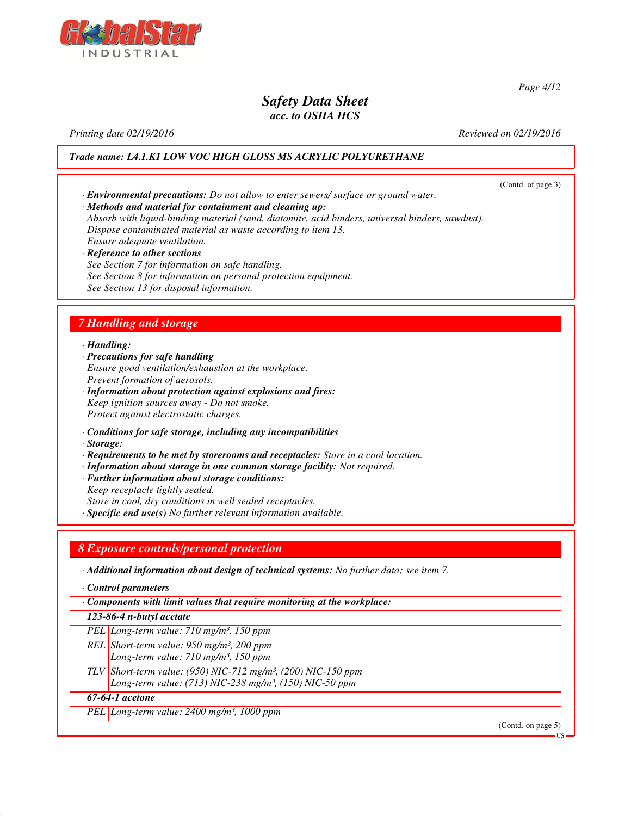

*Printing date 02/19/2016 Reviewed on 02/19/2016*

*Page 4/12*

*Trade name: L4.1.K1 LOW VOC HIGH GLOSS MS ACRYLIC POLYURETHANE*

(Contd. of page 3) *· Environmental precautions: Do not allow to enter sewers/ surface or ground water. · Methods and material for containment and cleaning up: Absorb with liquid-binding material (sand, diatomite, acid binders, universal binders, sawdust). Dispose contaminated material as waste according to item 13. Ensure adequate ventilation. · Reference to other sections See Section 7 for information on safe handling. See Section 8 for information on personal protection equipment. See Section 13 for disposal information. 7 Handling and storage · Handling: · Precautions for safe handling Ensure good ventilation/exhaustion at the workplace. Prevent formation of aerosols. · Information about protection against explosions and fires: Keep ignition sources away - Do not smoke. Protect against electrostatic charges. · Conditions for safe storage, including any incompatibilities · Storage: · Requirements to be met by storerooms and receptacles: Store in a cool location. · Information about storage in one common storage facility: Not required. · Further information about storage conditions: Keep receptacle tightly sealed. Store in cool, dry conditions in well sealed receptacles. · Specific end use(s) No further relevant information available. 8 Exposure controls/personal protection · Additional information about design of technical systems: No further data; see item 7. · Control parameters · Components with limit values that require monitoring at the workplace: 123-86-4 n-butyl acetate PEL Long-term value: 710 mg/m³, 150 ppm REL Short-term value: 950 mg/m³, 200 ppm Long-term value: 710 mg/m³, 150 ppm TLV Short-term value: (950) NIC-712 mg/m³, (200) NIC-150 ppm Long-term value: (713) NIC-238 mg/m³, (150) NIC-50 ppm*

### *67-64-1 acetone*

*PEL Long-term value: 2400 mg/m³, 1000 ppm*

(Contd. on page 5)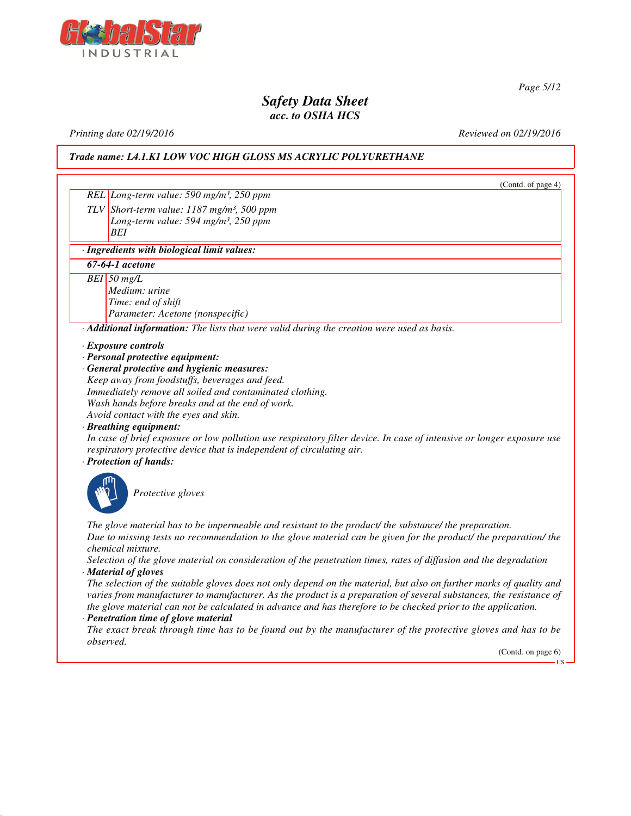

*Page 5/12*

### *Safety Data Sheet acc. to OSHA HCS*

*Printing date 02/19/2016 Reviewed on 02/19/2016*

*Trade name: L4.1.K1 LOW VOC HIGH GLOSS MS ACRYLIC POLYURETHANE*

(Contd. of page 4) *REL Long-term value: 590 mg/m³, 250 ppm TLV Short-term value: 1187 mg/m³, 500 ppm Long-term value: 594 mg/m³, 250 ppm BEI · Ingredients with biological limit values: 67-64-1 acetone BEI 50 mg/L Medium: urine Time: end of shift Parameter: Acetone (nonspecific) · Additional information: The lists that were valid during the creation were used as basis. · Exposure controls · Personal protective equipment: · General protective and hygienic measures: Keep away from foodstuffs, beverages and feed. Immediately remove all soiled and contaminated clothing. Wash hands before breaks and at the end of work. Avoid contact with the eyes and skin. · Breathing equipment: In case of brief exposure or low pollution use respiratory filter device. In case of intensive or longer exposure use respiratory protective device that is independent of circulating air. · Protection of hands:* \_S*Protective gloves The glove material has to be impermeable and resistant to the product/ the substance/ the preparation. Due to missing tests no recommendation to the glove material can be given for the product/ the preparation/ the chemical mixture. Selection of the glove material on consideration of the penetration times, rates of diffusion and the degradation · Material of gloves The selection of the suitable gloves does not only depend on the material, but also on further marks of quality and varies from manufacturer to manufacturer. As the product is a preparation of several substances, the resistance of*

*the glove material can not be calculated in advance and has therefore to be checked prior to the application. · Penetration time of glove material*

*The exact break through time has to be found out by the manufacturer of the protective gloves and has to be observed.*

(Contd. on page 6)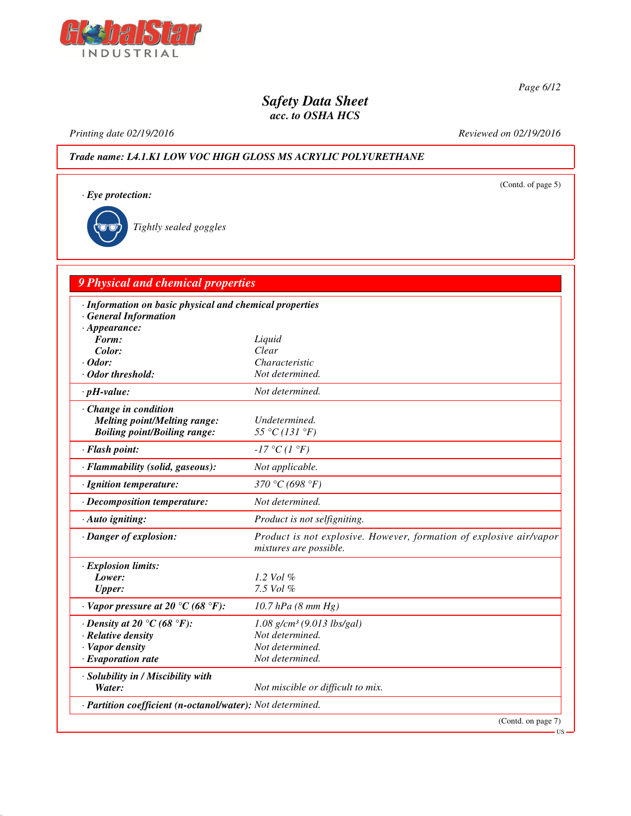

*Page 6/12*

(Contd. of page 5)

## *Safety Data Sheet acc. to OSHA HCS*

*Printing date 02/19/2016 Reviewed on 02/19/2016*

*Trade name: L4.1.K1 LOW VOC HIGH GLOSS MS ACRYLIC POLYURETHANE*

*· Eye protection:*

\_R*Tightly sealed goggles*

# *9 Physical and chemical properties*

| · Information on basic physical and chemical properties<br>· General Information |                                                                                               |
|----------------------------------------------------------------------------------|-----------------------------------------------------------------------------------------------|
| $\cdot$ Appearance:                                                              |                                                                                               |
| Form:                                                                            | Liquid                                                                                        |
| Color:                                                                           | Clear                                                                                         |
| $\cdot$ Odor:                                                                    | Characteristic                                                                                |
| Odor threshold:                                                                  | Not determined.                                                                               |
| $\cdot$ pH-value:                                                                | Not determined.                                                                               |
| $\cdot$ Change in condition                                                      |                                                                                               |
| <b>Melting point/Melting range:</b>                                              | Undetermined.                                                                                 |
| <b>Boiling point/Boiling range:</b>                                              | 55 °C (131 °F)                                                                                |
| · Flash point:                                                                   | $-17$ °C $(1 \degree F)$                                                                      |
| · Flammability (solid, gaseous):                                                 | Not applicable.                                                                               |
| · Ignition temperature:                                                          | 370 °C (698 °F)                                                                               |
| · Decomposition temperature:                                                     | Not determined.                                                                               |
| $\cdot$ Auto igniting:                                                           | Product is not selfigniting.                                                                  |
| · Danger of explosion:                                                           | Product is not explosive. However, formation of explosive air/vapor<br>mixtures are possible. |
| · Explosion limits:                                                              |                                                                                               |
| Lower:                                                                           | 1.2 Vol %                                                                                     |
| <b>Upper:</b>                                                                    | 7.5 Vol %                                                                                     |
| $\cdot$ Vapor pressure at 20 °C (68 °F):                                         | 10.7 hPa $(8 \, mm \, Hg)$                                                                    |
| $\cdot$ Density at 20 °C (68 °F):                                                | $1.08$ g/cm <sup>3</sup> (9.013 lbs/gal)                                                      |
| · Relative density                                                               | Not determined.                                                                               |
| $\cdot$ Vapor density                                                            | Not determined.                                                                               |
| $\cdot$ Evaporation rate                                                         | Not determined.                                                                               |
| · Solubility in / Miscibility with                                               |                                                                                               |
| Water:                                                                           | Not miscible or difficult to mix.                                                             |
| · Partition coefficient (n-octanol/water): Not determined.                       |                                                                                               |
|                                                                                  | (Contd. on page 7)                                                                            |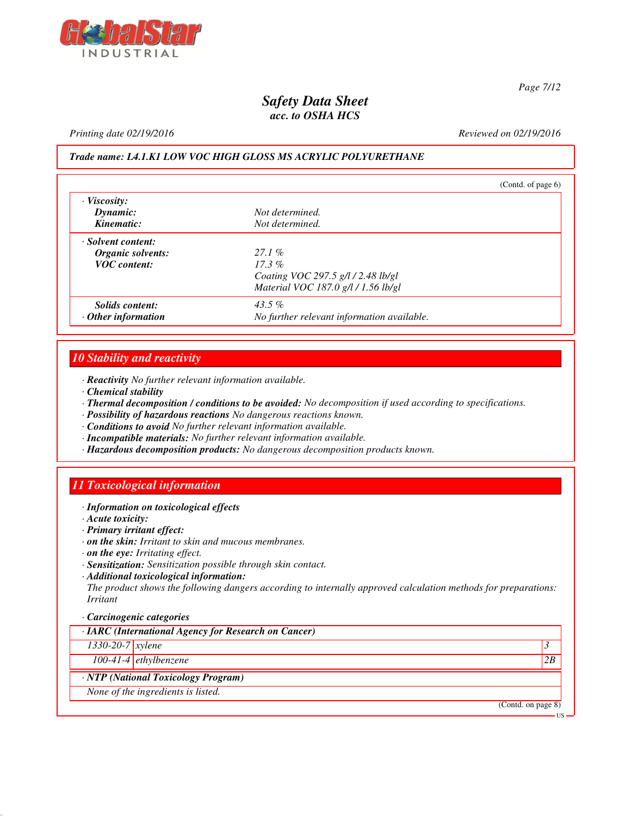

*Page 7/12*

### *Safety Data Sheet acc. to OSHA HCS*

#### *Printing date 02/19/2016 Reviewed on 02/19/2016*

### *Trade name: L4.1.K1 LOW VOC HIGH GLOSS MS ACRYLIC POLYURETHANE*

|                                | (Contd. of page $6$ )                      |  |
|--------------------------------|--------------------------------------------|--|
| $\cdot$ Viscosity:<br>Dynamic: | Not determined.                            |  |
| Kinematic:                     | Not determined.                            |  |
| · Solvent content:             |                                            |  |
| Organic solvents:              | 27.1%                                      |  |
| <b>VOC</b> content:            | $17.3\%$                                   |  |
|                                | Coating VOC 297.5 g/l / 2.48 lb/gl         |  |
|                                | Material VOC 187.0 g/l / 1.56 lb/gl        |  |
| Solids content:                | 43.5 $%$                                   |  |
| $\cdot$ Other information      | No further relevant information available. |  |

### *10 Stability and reactivity*

- *· Reactivity No further relevant information available.*
- *· Chemical stability*
- *· Thermal decomposition / conditions to be avoided: No decomposition if used according to specifications.*
- *· Possibility of hazardous reactions No dangerous reactions known.*
- *· Conditions to avoid No further relevant information available.*
- *· Incompatible materials: No further relevant information available.*
- *· Hazardous decomposition products: No dangerous decomposition products known.*

### *11 Toxicological information*

- *· Information on toxicological effects*
- *· Acute toxicity:*
- *· Primary irritant effect:*
- *· on the skin: Irritant to skin and mucous membranes.*
- *· on the eye: Irritating effect.*
- *· Sensitization: Sensitization possible through skin contact.*
- *· Additional toxicological information:*

*The product shows the following dangers according to internally approved calculation methods for preparations: Irritant*

#### *· Carcinogenic categories*

| · IARC (International Agency for Research on Cancer) |                           |
|------------------------------------------------------|---------------------------|
| 1330-20-7 xylene                                     |                           |
| 100-41-4 ethylbenzene                                | 2B                        |
| · NTP (National Toxicology Program)                  |                           |
| None of the ingredients is listed.                   |                           |
|                                                      | (Contd. on page 8)<br>-HS |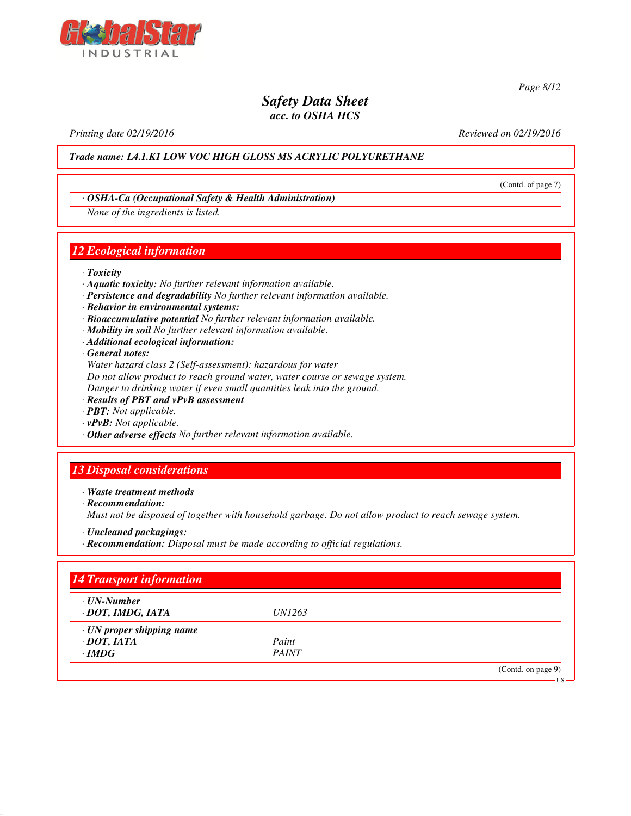

*Page 8/12*

(Contd. of page 7)

US

### *Safety Data Sheet acc. to OSHA HCS*

*Printing date 02/19/2016 Reviewed on 02/19/2016*

*Trade name: L4.1.K1 LOW VOC HIGH GLOSS MS ACRYLIC POLYURETHANE*

### *· OSHA-Ca (Occupational Safety & Health Administration)*

*None of the ingredients is listed.*

### *12 Ecological information*

- *· Toxicity*
- *· Aquatic toxicity: No further relevant information available.*
- *· Persistence and degradability No further relevant information available.*
- *· Behavior in environmental systems:*
- *· Bioaccumulative potential No further relevant information available.*
- *· Mobility in soil No further relevant information available.*
- *· Additional ecological information:*
- *· General notes:*

*Water hazard class 2 (Self-assessment): hazardous for water Do not allow product to reach ground water, water course or sewage system.*

*Danger to drinking water if even small quantities leak into the ground.*

- *· Results of PBT and vPvB assessment*
- *· PBT: Not applicable.*
- *· vPvB: Not applicable.*
- *· Other adverse effects No further relevant information available.*

## *13 Disposal considerations*

*· Waste treatment methods*

*· Recommendation:*

*Must not be disposed of together with household garbage. Do not allow product to reach sewage system.*

- *· Uncleaned packagings:*
- *· Recommendation: Disposal must be made according to official regulations.*

| <b>14 Transport information</b>        |               |                    |
|----------------------------------------|---------------|--------------------|
| $\cdot$ UN-Number<br>· DOT, IMDG, IATA | <i>UN1263</i> |                    |
| $\cdot$ UN proper shipping name        |               |                    |
| $\cdot$ DOT, IATA                      | Paint         |                    |
| $\cdot$ IMDG                           | <b>PAINT</b>  |                    |
|                                        |               | (Contd. on page 9) |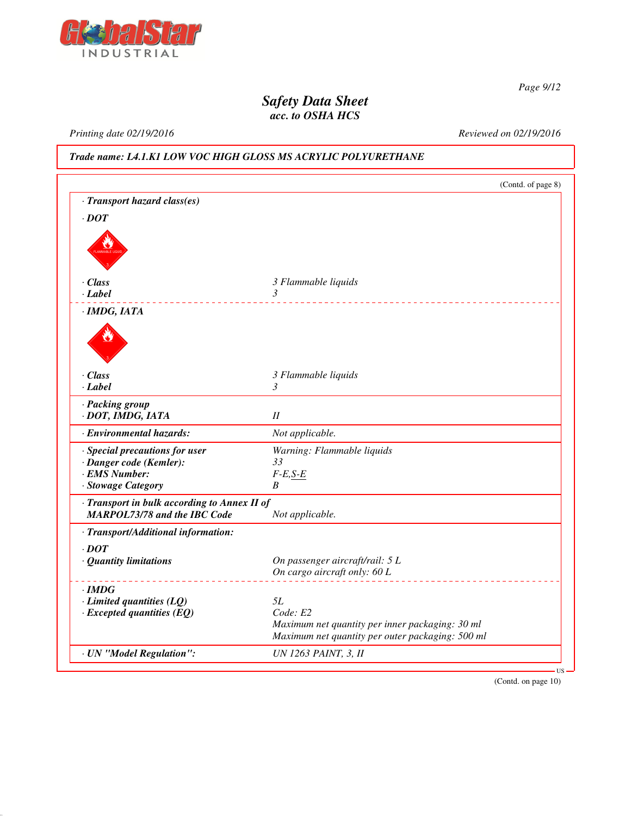

*Page 9/12*

## *Safety Data Sheet acc. to OSHA HCS*

*Printing date 02/19/2016 Reviewed on 02/19/2016*

*Trade name: L4.1.K1 LOW VOC HIGH GLOSS MS ACRYLIC POLYURETHANE*

|                                              |                                                  | (Contd. of page 8) |
|----------------------------------------------|--------------------------------------------------|--------------------|
| · Transport hazard class(es)                 |                                                  |                    |
| $\cdot$ DOT                                  |                                                  |                    |
|                                              |                                                  |                    |
|                                              |                                                  |                    |
|                                              |                                                  |                    |
|                                              |                                                  |                    |
| · Class                                      | 3 Flammable liquids                              |                    |
| $-Label$                                     | $\mathfrak{Z}$<br><u>.</u>                       |                    |
| · IMDG, IATA                                 |                                                  |                    |
|                                              |                                                  |                    |
|                                              |                                                  |                    |
|                                              |                                                  |                    |
| · Class                                      |                                                  |                    |
| $-Label$                                     | 3 Flammable liquids<br>3                         |                    |
|                                              |                                                  |                    |
| · Packing group<br>· DOT, IMDG, IATA         | I                                                |                    |
|                                              |                                                  |                    |
| · Environmental hazards:                     | Not applicable.                                  |                    |
| · Special precautions for user               | Warning: Flammable liquids                       |                    |
| · Danger code (Kemler):                      | 33                                               |                    |
| $\cdot$ EMS Number:                          | $F-E, S-E$                                       |                    |
| · Stowage Category                           | B                                                |                    |
| · Transport in bulk according to Annex II of |                                                  |                    |
| <b>MARPOL73/78 and the IBC Code</b>          | Not applicable.                                  |                    |
| · Transport/Additional information:          |                                                  |                    |
| $\cdot$ DOT                                  |                                                  |                    |
| · Quantity limitations                       | On passenger aircraft/rail: 5 L                  |                    |
|                                              | On cargo aircraft only: 60 L                     |                    |
| $\cdot$ IMDG                                 |                                                  |                    |
| $\cdot$ Limited quantities (LQ)              | 5L                                               |                    |
| $\cdot$ Excepted quantities (EQ)             | Code: E2                                         |                    |
|                                              | Maximum net quantity per inner packaging: 30 ml  |                    |
|                                              | Maximum net quantity per outer packaging: 500 ml |                    |
| · UN "Model Regulation":                     | <b>UN 1263 PAINT, 3, II</b>                      |                    |
|                                              |                                                  |                    |

(Contd. on page 10)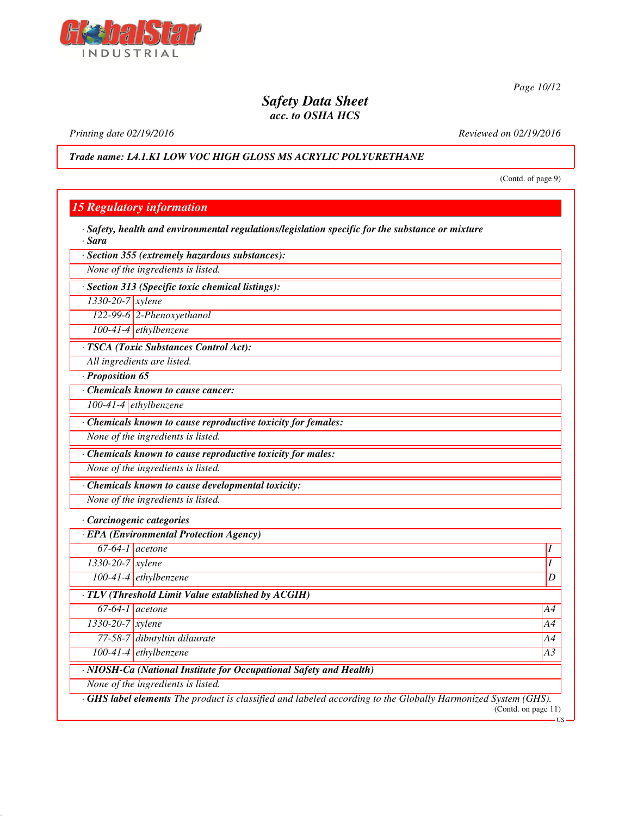

*Printing date 02/19/2016 Reviewed on 02/19/2016*

*Trade name: L4.1.K1 LOW VOC HIGH GLOSS MS ACRYLIC POLYURETHANE*

(Contd. of page 9)

| · Section 355 (extremely hazardous substances):               |    |
|---------------------------------------------------------------|----|
| None of the ingredients is listed.                            |    |
| · Section 313 (Specific toxic chemical listings):             |    |
| 1330-20-7 xylene                                              |    |
| 122-99-6 2-Phenoxyethanol                                     |    |
| $100-41-4$ ethylbenzene                                       |    |
| · TSCA (Toxic Substances Control Act):                        |    |
| All ingredients are listed.                                   |    |
| · Proposition 65                                              |    |
| Chemicals known to cause cancer:                              |    |
| 100-41-4 ethylbenzene                                         |    |
| · Chemicals known to cause reproductive toxicity for females: |    |
| None of the ingredients is listed.                            |    |
| · Chemicals known to cause reproductive toxicity for males:   |    |
| None of the ingredients is listed.                            |    |
| · Chemicals known to cause developmental toxicity:            |    |
| None of the ingredients is listed.                            |    |
| · Carcinogenic categories                                     |    |
| · EPA (Environmental Protection Agency)                       |    |
| $67-64-1$ acetone                                             |    |
| 1330-20-7 xylene                                              | I  |
| $100-41-4$ ethylbenzene                                       | D  |
| · TLV (Threshold Limit Value established by ACGIH)            |    |
| $67-64-1$ acetone                                             | A4 |
| $1330 - 20 - 7$ <i>xylene</i>                                 | A4 |
| 77-58-7 dibutyltin dilaurate                                  | A4 |
| $100-41-4$ ethylbenzene                                       | A3 |
|                                                               |    |

*Page 10/12*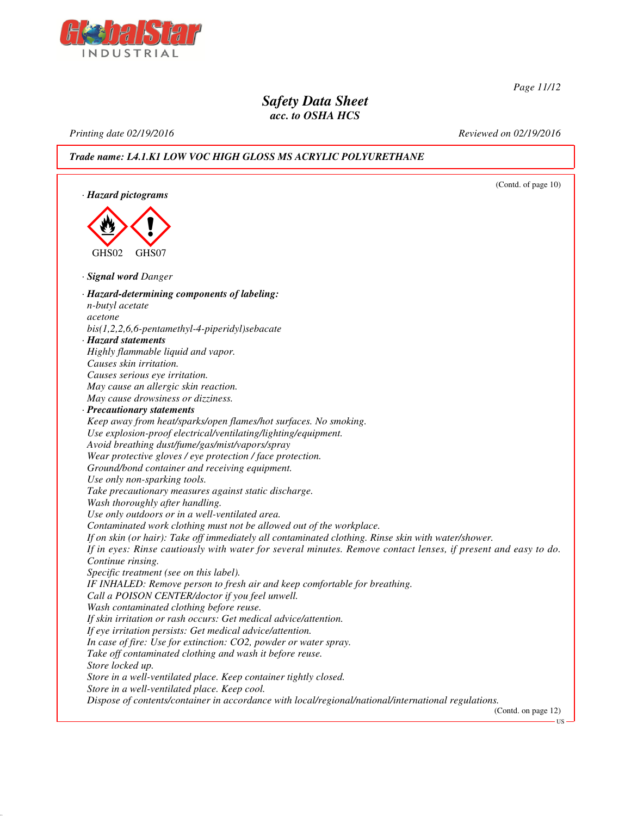

*Page 11/12*

US

### *Safety Data Sheet acc. to OSHA HCS*

*Printing date 02/19/2016 Reviewed on 02/19/2016*

### *Trade name: L4.1.K1 LOW VOC HIGH GLOSS MS ACRYLIC POLYURETHANE*

(Contd. of page 10) *· Hazard pictograms* < GHS02  $\langle \cdot \rangle$ GHS07 *· Signal word Danger · Hazard-determining components of labeling: n-butyl acetate acetone bis(1,2,2,6,6-pentamethyl-4-piperidyl)sebacate · Hazard statements Highly flammable liquid and vapor. Causes skin irritation. Causes serious eye irritation. May cause an allergic skin reaction. May cause drowsiness or dizziness. · Precautionary statements Keep away from heat/sparks/open flames/hot surfaces. No smoking. Use explosion-proof electrical/ventilating/lighting/equipment. Avoid breathing dust/fume/gas/mist/vapors/spray Wear protective gloves / eye protection / face protection. Ground/bond container and receiving equipment. Use only non-sparking tools. Take precautionary measures against static discharge. Wash thoroughly after handling. Use only outdoors or in a well-ventilated area. Contaminated work clothing must not be allowed out of the workplace. If on skin (or hair): Take off immediately all contaminated clothing. Rinse skin with water/shower. If in eyes: Rinse cautiously with water for several minutes. Remove contact lenses, if present and easy to do. Continue rinsing. Specific treatment (see on this label). IF INHALED: Remove person to fresh air and keep comfortable for breathing. Call a POISON CENTER/doctor if you feel unwell. Wash contaminated clothing before reuse. If skin irritation or rash occurs: Get medical advice/attention. If eye irritation persists: Get medical advice/attention. In case of fire: Use for extinction: CO2, powder or water spray. Take off contaminated clothing and wash it before reuse. Store locked up. Store in a well-ventilated place. Keep container tightly closed. Store in a well-ventilated place. Keep cool. Dispose of contents/container in accordance with local/regional/national/international regulations.* (Contd. on page 12)